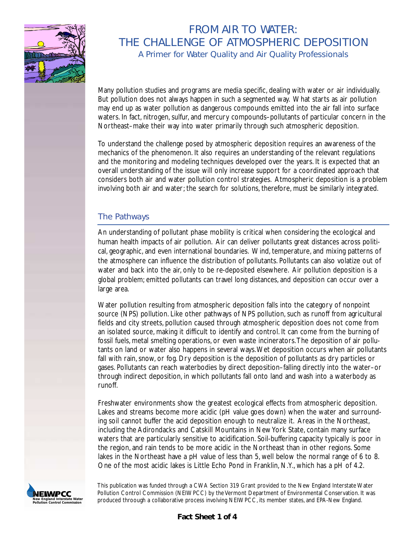

# FROM AIR TO WATER: THE CHALLENGE OF ATMOSPHERIC DEPOSITION A Primer for Water Quality and Air Quality Professionals

Many pollution studies and programs are media specific, dealing with water or air individually. But pollution does not always happen in such a segmented way. What starts as air pollution may end up as water pollution as dangerous compounds emitted into the air fall into surface waters. In fact, nitrogen, sulfur, and mercury compounds–pollutants of particular concern in the Northeast–make their way into water primarily through such atmospheric deposition.

To understand the challenge posed by atmospheric deposition requires an awareness of the mechanics of the phenomenon. It also requires an understanding of the relevant regulations and the monitoring and modeling techniques developed over the years. It is expected that an overall understanding of the issue will only increase support for a coordinated approach that considers both air and water pollution control strategies. Atmospheric deposition is a problem involving both air and water; the search for solutions, therefore, must be similarly integrated.

## The Pathways

An understanding of pollutant phase mobility is critical when considering the ecological and human health impacts of air pollution. Air can deliver pollutants great distances across political, geographic, and even international boundaries. Wind, temperature, and mixing patterns of the atmosphere can influence the distribution of pollutants. Pollutants can also volatize out of water and back into the air, only to be re-deposited elsewhere. Air pollution deposition is a global problem; emitted pollutants can travel long distances, and deposition can occur over a large area.

Water pollution resulting from atmospheric deposition falls into the category of nonpoint source (NPS) pollution. Like other pathways of NPS pollution, such as runoff from agricultural fields and city streets, pollution caused through atmospheric deposition does not come from an isolated source, making it difficult to identify and control. It can come from the burning of fossil fuels, metal smelting operations, or even waste incinerators.The deposition of air pollutants on land or water also happens in several ways.Wet deposition occurs when air pollutants fall with rain, snow, or fog. Dry deposition is the deposition of pollutants as dry particles or gases. Pollutants can reach waterbodies by direct deposition–falling directly into the water–or through indirect deposition, in which pollutants fall onto land and wash into a waterbody as runoff.

Freshwater environments show the greatest ecological effects from atmospheric deposition. Lakes and streams become more acidic (pH value goes down) when the water and surrounding soil cannot buffer the acid deposition enough to neutralize it. Areas in the Northeast, including the Adirondacks and Catskill Mountains in New York State, contain many surface waters that are particularly sensitive to acidification. Soil-buffering capacity typically is poor in the region, and rain tends to be more acidic in the Northeast than in other regions. Some lakes in the Northeast have a pH value of less than 5, well below the normal range of 6 to 8. One of the most acidic lakes is Little Echo Pond in Franklin, N.Y., which has a pH of 4.2.



This publication was funded through a CWA Section 319 Grant provided to the New England Interstate Water Pollution Control Commission (NEIWPCC) by the Vermont Department of Environmental Conservation. It was produced throough a collaborative process involving NEIWPCC, its member states, and EPA-New England.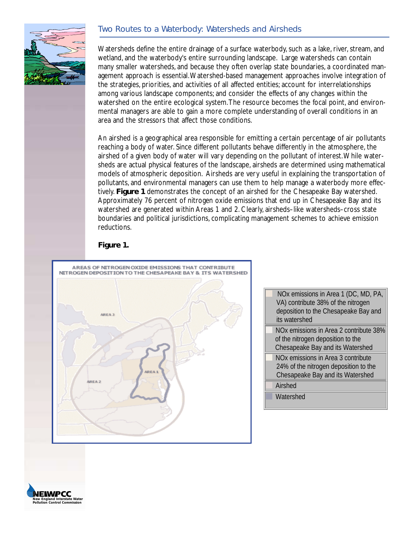# Two Routes to a Waterbody: Watersheds and Airsheds



Watersheds define the entire drainage of a surface waterbody, such as a lake, river, stream, and wetland, and the waterbody's entire surrounding landscape. Large watersheds can contain many smaller watersheds, and because they often overlap state boundaries, a coordinated management approach is essential.Watershed-based management approaches involve integration of the strategies, priorities, and activities of all affected entities; account for interrelationships among various landscape components; and consider the effects of any changes within the watershed on the entire ecological system.The resource becomes the focal point, and environmental managers are able to gain a more complete understanding of overall conditions in an area and the stressors that affect those conditions.

An airshed is a geographical area responsible for emitting a certain percentage of air pollutants reaching a body of water. Since different pollutants behave differently in the atmosphere, the airshed of a given body of water will vary depending on the pollutant of interest.While watersheds are actual physical features of the landscape, airsheds are determined using mathematical models of atmospheric deposition. Airsheds are very useful in explaining the transportation of pollutants, and environmental managers can use them to help manage a waterbody more effectively. **Figure 1** demonstrates the concept of an airshed for the Chesapeake Bay watershed. Approximately 76 percent of nitrogen oxide emissions that end up in Chesapeake Bay and its watershed are generated within Areas 1 and 2. Clearly, airsheds–like watersheds–cross state boundaries and political jurisdictions, complicating management schemes to achieve emission reductions.

#### **Figure 1.**





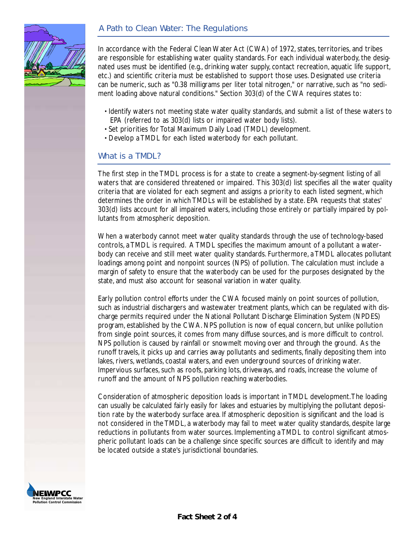

In accordance with the Federal Clean Water Act (CWA) of 1972, states, territories, and tribes are responsible for establishing water quality standards. For each individual waterbody, the designated uses must be identified (e.g., drinking water supply, contact recreation, aquatic life support, etc.) and scientific criteria must be established to support those uses. Designated use criteria can be numeric, such as "0.38 milligrams per liter total nitrogen," or narrative, such as "no sediment loading above natural conditions." Section 303(d) of the CWA requires states to:

- **·** Identify waters not meeting state water quality standards, and submit a list of these waters to EPA (referred to as 303(d) lists or impaired water body lists).
- **·** Set priorities for Total Maximum Daily Load (TMDL) development.
- **·** Develop a TMDL for each listed waterbody for each pollutant.

#### What is a TMDL?

The first step in the TMDL process is for a state to create a segment-by-segment listing of all waters that are considered threatened or impaired. This 303(d) list specifies all the water quality criteria that are violated for each segment and assigns a priority to each listed segment, which determines the order in which TMDLs will be established by a state. EPA requests that states' 303(d) lists account for all impaired waters, including those entirely or partially impaired by pollutants from atmospheric deposition.

When a waterbody cannot meet water quality standards through the use of technology-based controls, a TMDL is required. A TMDL specifies the maximum amount of a pollutant a waterbody can receive and still meet water quality standards. Furthermore, a TMDL allocates pollutant loadings among point and nonpoint sources (NPS) of pollution. The calculation must include a margin of safety to ensure that the waterbody can be used for the purposes designated by the state, and must also account for seasonal variation in water quality.

Early pollution control efforts under the CWA focused mainly on point sources of pollution, such as industrial dischargers and wastewater treatment plants, which can be regulated with discharge permits required under the National Pollutant Discharge Elimination System (NPDES) program, established by the CWA. NPS pollution is now of equal concern, but unlike pollution from single point sources, it comes from many diffuse sources, and is more difficult to control. NPS pollution is caused by rainfall or snowmelt moving over and through the ground. As the runoff travels, it picks up and carries away pollutants and sediments, finally depositing them into lakes, rivers, wetlands, coastal waters, and even underground sources of drinking water. Impervious surfaces, such as roofs, parking lots, driveways, and roads, increase the volume of runoff and the amount of NPS pollution reaching waterbodies.

Consideration of atmospheric deposition loads is important in TMDL development.The loading can usually be calculated fairly easily for lakes and estuaries by multiplying the pollutant deposition rate by the waterbody surface area. If atmospheric deposition is significant and the load is not considered in the TMDL, a waterbody may fail to meet water quality standards, despite large reductions in pollutants from water sources. Implementing a TMDL to control significant atmospheric pollutant loads can be a challenge since specific sources are difficult to identify and may be located outside a state's jurisdictional boundaries.

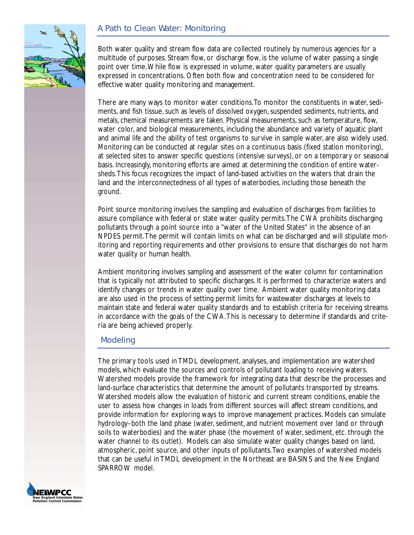### A Path to Clean Water: Monitoring



Both water quality and stream flow data are collected routinely by numerous agencies for a multitude of purposes. Stream flow, or discharge flow, is the volume of water passing a single point over time.While flow is expressed in volume, water quality parameters are usually expressed in concentrations. Often both flow and concentration need to be considered for effective water quality monitoring and management.

There are many ways to monitor water conditions.To monitor the constituents in water, sediments, and fish tissue, such as levels of dissolved oxygen, suspended sediments, nutrients, and metals, chemical measurements are taken. Physical measurements, such as temperature, flow, water color, and biological measurements, including the abundance and variety of aquatic plant and animal life and the ability of test organisms to survive in sample water, are also widely used. Monitoring can be conducted at regular sites on a continuous basis (fixed station monitoring), at selected sites to answer specific questions (intensive surveys), or on a temporary or seasonal basis. Increasingly, monitoring efforts are aimed at determining the condition of entire watersheds.This focus recognizes the impact of land-based activities on the waters that drain the land and the interconnectedness of all types of waterbodies, including those beneath the ground.

Point source monitoring involves the sampling and evaluation of discharges from facilities to assure compliance with federal or state water quality permits.The CWA prohibits discharging pollutants through a point source into a "water of the United States" in the absence of an NPDES permit.The permit will contain limits on what can be discharged and will stipulate monitoring and reporting requirements and other provisions to ensure that discharges do not harm water quality or human health.

Ambient monitoring involves sampling and assessment of the water column for contamination that is typically not attributed to specific discharges. It is performed to characterize waters and identify changes or trends in water quality over time. Ambient water quality monitoring data are also used in the process of setting permit limits for wastewater discharges at levels to maintain state and federal water quality standards and to establish criteria for receiving streams in accordance with the goals of the CWA.This is necessary to determine if standards and criteria are being achieved properly.

#### Modeling

The primary tools used in TMDL development, analyses, and implementation are watershed models, which evaluate the sources and controls of pollutant loading to receiving waters. Watershed models provide the framework for integrating data that describe the processes and land-surface characteristics that determine the amount of pollutants transported by streams. Watershed models allow the evaluation of historic and current stream conditions, enable the user to assess how changes in loads from different sources will affect stream conditions, and provide information for exploring ways to improve management practices. Models can simulate hydrology–both the land phase (water, sediment, and nutrient movement over land or through soils to waterbodies) and the water phase (the movement of water, sediment, etc. through the water channel to its outlet). Models can also simulate water quality changes based on land, atmospheric, point source, and other inputs of pollutants.Two examples of watershed models that can be useful in TMDL development in the Northeast are BASINS and the New England SPARROW model.

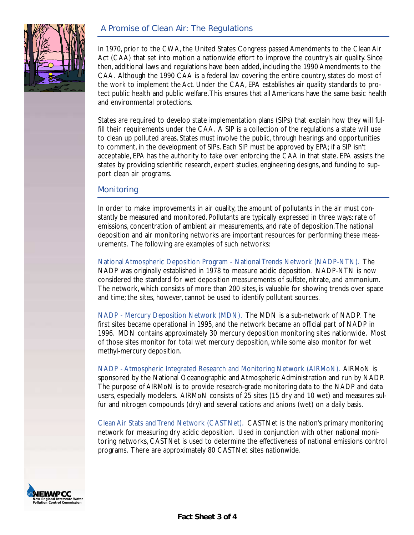### A Promise of Clean Air: The Regulations



In 1970, prior to the CWA, the United States Congress passed Amendments to the Clean Air Act (CAA) that set into motion a nationwide effort to improve the country's air quality. Since then, additional laws and regulations have been added, including the 1990 Amendments to the CAA. Although the 1990 CAA is a federal law covering the entire country, states do most of the work to implement the Act. Under the CAA, EPA establishes air quality standards to protect public health and public welfare.This ensures that all Americans have the same basic health and environmental protections.

States are required to develop state implementation plans (SIPs) that explain how they will fulfill their requirements under the CAA. A SIP is a collection of the regulations a state will use to clean up polluted areas. States must involve the public, through hearings and opportunities to comment, in the development of SIPs. Each SIP must be approved by EPA; if a SIP isn't acceptable, EPA has the authority to take over enforcing the CAA in that state. EPA assists the states by providing scientific research, expert studies, engineering designs, and funding to support clean air programs.

#### **Monitoring**

In order to make improvements in air quality, the amount of pollutants in the air must constantly be measured and monitored. Pollutants are typically expressed in three ways: rate of emissions, concentration of ambient air measurements, and rate of deposition.The national deposition and air monitoring networks are important resources for performing these measurements. The following are examples of such networks:

National Atmospheric Deposition Program - National Trends Network (NADP-NTN). The NADP was originally established in 1978 to measure acidic deposition. NADP-NTN is now considered the standard for wet deposition measurements of sulfate, nitrate, and ammonium. The network, which consists of more than 200 sites, is valuable for showing trends over space and time; the sites, however, cannot be used to identify pollutant sources.

NADP - Mercury Deposition Network (MDN). The MDN is a sub-network of NADP. The first sites became operational in 1995, and the network became an official part of NADP in 1996. MDN contains approximately 30 mercury deposition monitoring sites nationwide. Most of those sites monitor for total wet mercury deposition, while some also monitor for wet methyl-mercury deposition.

NADP - Atmospheric Integrated Research and Monitoring Network (AIRMoN). AIRMoN is sponsored by the National Oceanographic and Atmospheric Administration and run by NADP. The purpose of AIRMoN is to provide research-grade monitoring data to the NADP and data users, especially modelers. AIRMoN consists of 25 sites (15 dry and 10 wet) and measures sulfur and nitrogen compounds (dry) and several cations and anions (wet) on a daily basis.

Clean Air Stats and Trend Network (CASTNet). CASTNet is the nation's primary monitoring network for measuring dry acidic deposition. Used in conjunction with other national monitoring networks, CASTNet is used to determine the effectiveness of national emissions control programs. There are approximately 80 CASTNet sites nationwide.

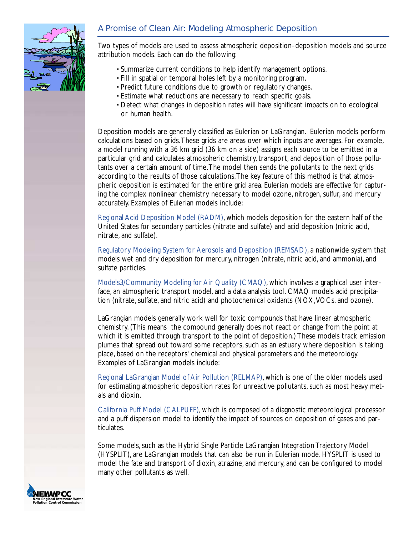# A Promise of Clean Air: Modeling Atmospheric Deposition



Two types of models are used to assess atmospheric deposition–deposition models and source attribution models. Each can do the following:

- **·** Summarize current conditions to help identify management options.
- **·** Fill in spatial or temporal holes left by a monitoring program.
- **·** Predict future conditions due to growth or regulatory changes.
- **·** Estimate what reductions are necessary to reach specific goals.
- **·** Detect what changes in deposition rates will have significant impacts on to ecological or human health.

Deposition models are generally classified as Eulerian or LaGrangian. Eulerian models perform calculations based on grids.These grids are areas over which inputs are averages. For example, a model running with a 36 km grid (36 km on a side) assigns each source to be emitted in a particular grid and calculates atmospheric chemistry, transport, and deposition of those pollutants over a certain amount of time.The model then sends the pollutants to the next grids according to the results of those calculations.The key feature of this method is that atmospheric deposition is estimated for the entire grid area. Eulerian models are effective for capturing the complex nonlinear chemistry necessary to model ozone, nitrogen, sulfur, and mercury accurately. Examples of Eulerian models include:

Regional Acid Deposition Model (RADM), which models deposition for the eastern half of the United States for secondary particles (nitrate and sulfate) and acid deposition (nitric acid, nitrate, and sulfate).

Regulatory Modeling System for Aerosols and Deposition (REMSAD), a nationwide system that models wet and dry deposition for mercury, nitrogen (nitrate, nitric acid, and ammonia), and sulfate particles.

Models3/Community Modeling for Air Quality (CMAQ), which involves a graphical user interface, an atmospheric transport model, and a data analysis tool. CMAQ models acid precipitation (nitrate, sulfate, and nitric acid) and photochemical oxidants (NOX,VOCs, and ozone).

LaGrangian models generally work well for toxic compounds that have linear atmospheric chemistry. (This means the compound generally does not react or change from the point at which it is emitted through transport to the point of deposition.) These models track emission plumes that spread out toward some receptors, such as an estuary where deposition is taking place, based on the receptors' chemical and physical parameters and the meteorology. Examples of LaGrangian models include:

Regional LaGrangian Model of Air Pollution (RELMAP), which is one of the older models used for estimating atmospheric deposition rates for unreactive pollutants, such as most heavy metals and dioxin.

California Puff Model (CALPUFF), which is composed of a diagnostic meteorological processor and a puff dispersion model to identify the impact of sources on deposition of gases and particulates.

Some models, such as the Hybrid Single Particle LaGrangian Integration Trajectory Model (HYSPLIT), are LaGrangian models that can also be run in Eulerian mode. HYSPLIT is used to model the fate and transport of dioxin, atrazine, and mercury, and can be configured to model many other pollutants as well.

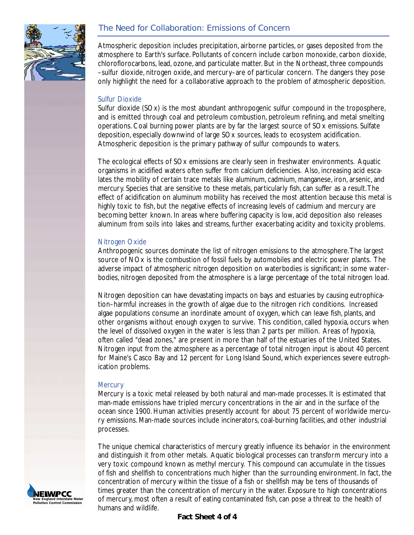# The Need for Collaboration: Emissions of Concern



Atmospheric deposition includes precipitation, airborne particles, or gases deposited from the atmosphere to Earth's surface. Pollutants of concern include carbon monoxide, carbon dioxide, chloroflorocarbons, lead, ozone, and particulate matter. But in the Northeast, three compounds –sulfur dioxide, nitrogen oxide, and mercury–are of particular concern. The dangers they pose only highlight the need for a collaborative approach to the problem of atmospheric deposition.

#### Sulfur Dioxide

Sulfur dioxide (SOx) is the most abundant anthropogenic sulfur compound in the troposphere, and is emitted through coal and petroleum combustion, petroleum refining, and metal smelting operations. Coal burning power plants are by far the largest source of SOx emissions. Sulfate deposition, especially downwind of large SOx sources, leads to ecosystem acidification. Atmospheric deposition is the primary pathway of sulfur compounds to waters.

The ecological effects of SOx emissions are clearly seen in freshwater environments. Aquatic organisms in acidified waters often suffer from calcium deficiencies. Also, increasing acid escalates the mobility of certain trace metals like aluminum, cadmium, manganese, iron, arsenic, and mercury. Species that are sensitive to these metals, particularly fish, can suffer as a result.The effect of acidification on aluminum mobility has received the most attention because this metal is highly toxic to fish, but the negative effects of increasing levels of cadmium and mercury are becoming better known. In areas where buffering capacity is low, acid deposition also releases aluminum from soils into lakes and streams, further exacerbating acidity and toxicity problems.

#### Nitrogen Oxide

Anthropogenic sources dominate the list of nitrogen emissions to the atmosphere.The largest source of NOx is the combustion of fossil fuels by automobiles and electric power plants. The adverse impact of atmospheric nitrogen deposition on waterbodies is significant; in some waterbodies, nitrogen deposited from the atmosphere is a large percentage of the total nitrogen load.

Nitrogen deposition can have devastating impacts on bays and estuaries by causing eutrophication–harmful increases in the growth of algae due to the nitrogen rich conditions. Increased algae populations consume an inordinate amount of oxygen, which can leave fish, plants, and other organisms without enough oxygen to survive. This condition, called hypoxia, occurs when the level of dissolved oxygen in the water is less than 2 parts per million. Areas of hypoxia, often called "dead zones," are present in more than half of the estuaries of the United States. Nitrogen input from the atmosphere as a percentage of total nitrogen input is about 40 percent for Maine's Casco Bay and 12 percent for Long Island Sound, which experiences severe eutrophication problems.

#### **Mercury**

Mercury is a toxic metal released by both natural and man-made processes. It is estimated that man-made emissions have tripled mercury concentrations in the air and in the surface of the ocean since 1900. Human activities presently account for about 75 percent of worldwide mercury emissions. Man-made sources include incinerators, coal-burning facilities, and other industrial processes.

The unique chemical characteristics of mercury greatly influence its behavior in the environment and distinguish it from other metals. Aquatic biological processes can transform mercury into a very toxic compound known as methyl mercury. This compound can accumulate in the tissues of fish and shellfish to concentrations much higher than the surrounding environment. In fact, the concentration of mercury within the tissue of a fish or shellfish may be tens of thousands of times greater than the concentration of mercury in the water. Exposure to high concentrations of mercury, most often a result of eating contaminated fish, can pose a threat to the health of humans and wildlife.